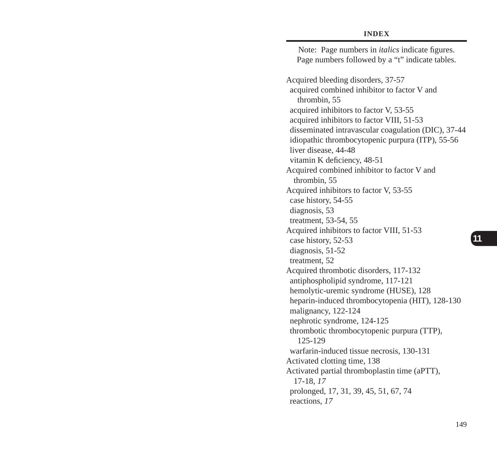Note: Page numbers in *italics* indicate figures. Page numbers followed by a "t" indicate tables. Acquired bleeding disorders, 37-57 acquired combined inhibitor to factor V and thrombin, 55 acquired inhibitors to factor V, 53-55 acquired inhibitors to factor VIII, 51-53 disseminated intravascular coagulation (DIC), 37-44 idiopathic thrombocytopenic purpura (ITP), 55-56 liver disease, 44-48 vitamin K deficiency, 48-51 Acquired combined inhibitor to factor V and thrombin, 55 Acquired inhibitors to factor V, 53-55 case history, 54-55 diagnosis, 53 treatment, 53-54, 55 Acquired inhibitors to factor VIII, 51-53 case history, 52-53 diagnosis, 51-52 treatment, 52 Acquired thrombotic disorders, 117-132 antiphospholipid syndrome, 117-121 hemolytic-uremic syndrome (HUSE), 128 heparin-induced thrombocytopenia (HIT), 128-130 malignancy, 122-124 nephrotic syndrome, 124-125 thrombotic thrombocytopenic purpura (TTP), 125-129 warfarin-induced tissue necrosis, 130-131 Activated clotting time, 138 Activated partial thromboplastin time (aPTT), 17-18, *17* prolonged, 17, 31, 39, 45, 51, 67, 74 reactions, *17*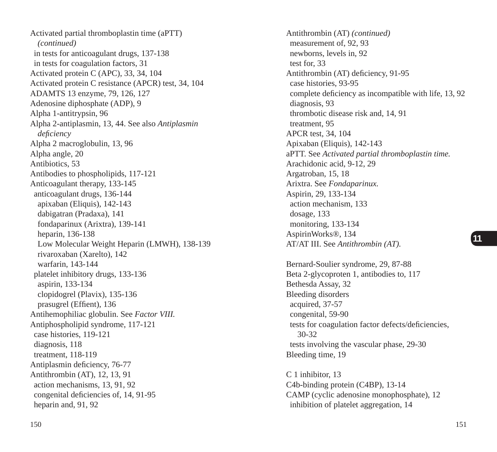Activated partial thromboplastin time (aPTT) *(continued)* in tests for anticoagulant drugs, 137-138 in tests for coagulation factors, 31 Activated protein C (APC), 33, 34, 104 Activated protein C resistance (APCR) test, 34, 104 ADAMTS 13 enzyme, 79, 126, 127 Adenosine diphosphate (ADP), 9 Alpha 1-antitrypsin, 96 Alpha 2-antiplasmin, 13, 44. See also *Antiplasmin defi ciency* Alpha 2 macroglobulin, 13, 96 Alpha angle, 20 Antibiotics, 53 Antibodies to phospholipids, 117-121 Anticoagulant therapy, 133-145 anticoagulant drugs, 136-144 apixaban (Eliquis), 142-143 dabigatran (Pradaxa), 141 fondaparinux (Arixtra), 139-141 heparin, 136-138 Low Molecular Weight Heparin (LMWH), 138-139 rivaroxaban (Xarelto), 142 warfarin, 143-144 platelet inhibitory drugs, 133-136 aspirin, 133-134 clopidogrel (Plavix), 135-136 prasugrel (Effient), 136 Antihemophiliac globulin. See *Factor VIII.* Antiphospholipid syndrome, 117-121 case histories, 119-121 diagnosis, 118 treatment, 118-119 Antiplasmin deficiency, 76-77 Antithrombin (AT), 12, 13, 91 action mechanisms, 13, 91, 92 congenital deficiencies of, 14, 91-95 heparin and, 91, 92

Antithrombin (AT) *(continued)* measurement of, 92, 93 newborns, levels in, 92 test for, 33 Antithrombin (AT) deficiency, 91-95 case histories, 93-95 complete deficiency as incompatible with life, 13, 92 diagnosis, 93 thrombotic disease risk and, 14, 91 treatment, 95 APCR test, 34, 104 Apixaban (Eliquis), 142-143 aPTT. See *Activated partial thromboplastin time.* Arachidonic acid, 9-12, 29 Argatroban, 15, 18 Arixtra. See *Fondaparinux.* Aspirin, 29, 133-134 action mechanism, 133 dosage, 133 monitoring, 133-134 AspirinWorks®, 134 AT/AT III. See *Antithrombin (AT).* Bernard-Soulier syndrome, 29, 87-88 Beta 2-glycoproten 1, antibodies to, 117 Bethesda Assay, 32 Bleeding disorders acquired, 37-57 congenital, 59-90 tests for coagulation factor defects/deficiencies, 30-32 tests involving the vascular phase, 29-30 Bleeding time, 19 C 1 inhibitor, 13 C4b-binding protein (C4BP), 13-14

CAMP (cyclic adenosine monophosphate), 12 inhibition of platelet aggregation, 14

150 151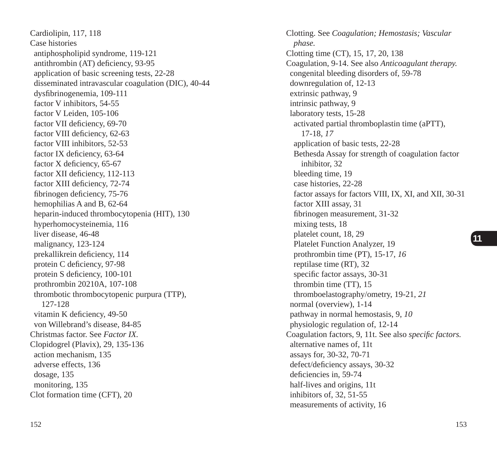Cardiolipin, 117, 118 Case histories antiphospholipid syndrome, 119-121 antithrombin (AT) deficiency, 93-95 application of basic screening tests, 22-28 disseminated intravascular coagulation (DIC), 40-44 dysfibrinogenemia, 109-111 factor V inhibitors, 54-55 factor V Leiden, 105-106 factor VII deficiency, 69-70 factor VIII deficiency, 62-63 factor VIII inhibitors, 52-53 factor IX deficiency,  $63-64$ factor  $X$  deficiency, 65-67 factor XII deficiency, 112-113 factor XIII deficiency, 72-74 fibrinogen deficiency, 75-76 hemophilias A and B, 62-64 heparin-induced thrombocytopenia (HIT), 130 hyperhomocysteinemia, 116 liver disease, 46-48 malignancy, 123-124 prekallikrein deficiency, 114 protein C deficiency, 97-98 protein S deficiency, 100-101 prothrombin 20210A, 107-108 thrombotic thrombocytopenic purpura (TTP), 127-128 vitamin K deficiency, 49-50 von Willebrand's disease, 84-85 Christmas factor. See *Factor IX.* Clopidogrel (Plavix), 29, 135-136 action mechanism, 135 adverse effects, 136 dosage, 135 monitoring, 135 Clot formation time (CFT), 20

Clotting. See *Coagulation; Hemostasis; Vascular phase.* Clotting time (CT), 15, 17, 20, 138 Coagulation, 9-14. See also *Anticoagulant therapy.* congenital bleeding disorders of, 59-78 downregulation of, 12-13 extrinsic pathway, 9 intrinsic pathway, 9 laboratory tests, 15-28 activated partial thromboplastin time (aPTT), 17-18, *17* application of basic tests, 22-28 Bethesda Assay for strength of coagulation factor inhibitor, 32 bleeding time, 19 case histories, 22-28 factor assays for factors VIII, IX, XI, and XII, 30-31 factor XIII assay, 31 fibrinogen measurement, 31-32 mixing tests, 18 platelet count, 18, 29 Platelet Function Analyzer, 19 prothrombin time (PT), 15-17, *16* reptilase time (RT), 32 specific factor assays, 30-31 thrombin time (TT), 15 thromboelastography/ometry, 19-21, *21* normal (overview), 1-14 pathway in normal hemostasis, 9, *10* physiologic regulation of, 12-14 Coagulation factors, 9, 11t. See also *specific factors*. alternative names of, 11t assays for, 30-32, 70-71 defect/deficiency assays, 30-32 deficiencies in, 59-74 half-lives and origins, 11t inhibitors of, 32, 51-55 measurements of activity, 16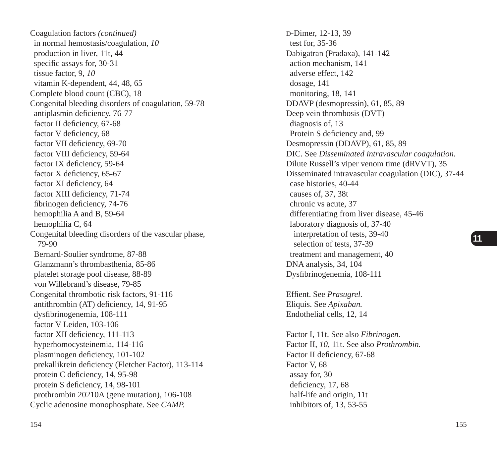Coagulation factors *(continued)* in normal hemostasis/coagulation, *10* production in liver, 11t, 44 specific assays for, 30-31 tissue factor, 9, *10* vitamin K-dependent, 44, 48, 65 Complete blood count (CBC), 18 Congenital bleeding disorders of coagulation, 59-78 antiplasmin deficiency, 76-77 factor II deficiency, 67-68 factor V deficiency, 68 factor VII deficiency, 69-70 factor VIII deficiency, 59-64 factor IX deficiency, 59-64 factor  $X$  deficiency, 65-67 factor XI deficiency, 64 factor XIII deficiency, 71-74 fibrinogen deficiency, 74-76 hemophilia A and B, 59-64 hemophilia C, 64 Congenital bleeding disorders of the vascular phase, 79-90 Bernard-Soulier syndrome, 87-88 Glanzmann's thrombasthenia, 85-86 platelet storage pool disease, 88-89 von Willebrand's disease, 79-85 Congenital thrombotic risk factors, 91-116 antithrombin (AT) deficiency, 14, 91-95 dysfibrinogenemia, 108-111 factor V Leiden, 103-106 factor XII deficiency, 111-113 hyperhomocysteinemia, 114-116 plasminogen deficiency, 101-102 prekallikrein deficiency (Fletcher Factor), 113-114 protein C deficiency, 14, 95-98 protein S deficiency, 14, 98-101 prothrombin 20210A (gene mutation), 106-108 Cyclic adenosine monophosphate. See *CAMP.*

D-Dimer, 12-13, 39 test for, 35-36 Dabigatran (Pradaxa), 141-142 action mechanism, 141 adverse effect, 142 dosage, 141 monitoring, 18, 141 DDAVP (desmopressin), 61, 85, 89 Deep vein thrombosis (DVT) diagnosis of, 13 Protein S deficiency and, 99 Desmopressin (DDAVP), 61, 85, 89 DIC. See *Disseminated intravascular coagulation.* Dilute Russell's viper venom time (dRVVT), 35 Disseminated intravascular coagulation (DIC), 37-44 case histories, 40-44 causes of, 37, 38t chronic vs acute, 37 differentiating from liver disease, 45-46 laboratory diagnosis of, 37-40 interpretation of tests, 39-40 selection of tests, 37-39 treatment and management, 40 DNA analysis, 34, 104 Dysfibrinogenemia, 108-111 Effient. See Prasugrel. Eliquis. See *Apixaban.* Endothelial cells, 12, 14 Factor I, 11t. See also *Fibrinogen.* Factor II, *10*, 11t. See also *Prothrombin.* Factor II deficiency, 67-68 Factor V, 68 assay for, 30 deficiency, 17, 68 half-life and origin, 11t

inhibitors of, 13, 53-55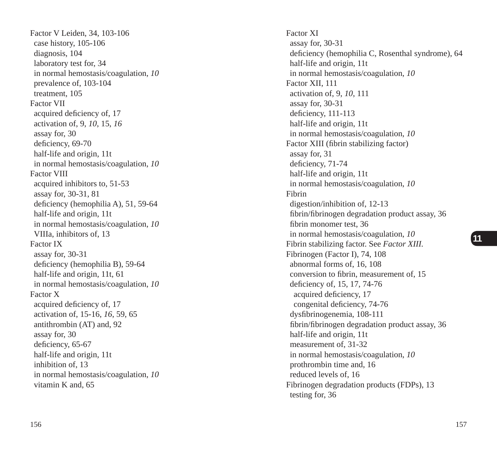Factor V Leiden, 34, 103-106 case history, 105-106 diagnosis, 104 laboratory test for, 34 in normal hemostasis/coagulation, *10* prevalence of, 103-104 treatment, 105 Factor VII acquired deficiency of, 17 activation of, 9, *10*, 15, *16* assay for, 30 deficiency, 69-70 half-life and origin, 11t in normal hemostasis/coagulation, *10* Factor VIII acquired inhibitors to, 51-53 assay for, 30-31, 81 deficiency (hemophilia A), 51, 59-64 half-life and origin, 11t in normal hemostasis/coagulation, *10* VIIIa, inhibitors of, 13 Factor IX assay for, 30-31 deficiency (hemophilia B), 59-64 half-life and origin, 11t, 61 in normal hemostasis/coagulation, *10* Factor X acquired deficiency of, 17 activation of, 15-16, *16*, 59, 65 antithrombin (AT) and, 92 assay for, 30 deficiency, 65-67 half-life and origin, 11t inhibition of, 13 in normal hemostasis/coagulation, *10* vitamin K and, 65

Factor XI assay for, 30-31 deficiency (hemophilia C, Rosenthal syndrome), 64 half-life and origin, 11t in normal hemostasis/coagulation, *10* Factor XII, 111 activation of, 9, *10*, 111 assay for, 30-31 deficiency, 111-113 half-life and origin, 11t in normal hemostasis/coagulation, *10* Factor XIII (fibrin stabilizing factor) assay for, 31 deficiency, 71-74 half-life and origin, 11t in normal hemostasis/coagulation, *10* Fibrin digestion/inhibition of, 12-13 fibrin/fibrinogen degradation product assay, 36 fibrin monomer test, 36 in normal hemostasis/coagulation, *10* Fibrin stabilizing factor. See *Factor XIII.* Fibrinogen (Factor I), 74, 108 abnormal forms of, 16, 108 conversion to fibrin, measurement of, 15 deficiency of, 15, 17, 74-76 acquired deficiency, 17 congenital deficiency, 74-76 dys fi brinogenemia, 108-111 fibrin/fibrinogen degradation product assay, 36 half-life and origin, 11t measurement of, 31-32 in normal hemostasis/coagulation, *10* prothrombin time and, 16 reduced levels of, 16 Fibrinogen degradation products (FDPs), 13 testing for, 36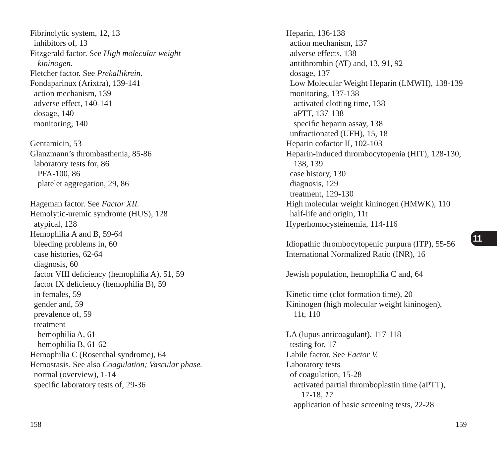Fibrinolytic system, 12, 13 inhibitors of, 13 Fitzgerald factor. See *High molecular weight kininogen.* Fletcher factor. See *Prekallikrein.* Fondaparinux (Arixtra), 139-141 action mechanism, 139 adverse effect, 140-141 dosage, 140 monitoring, 140

Gentamicin, 53 Glanzmann's thrombasthenia, 85-86 laboratory tests for, 86 PFA-100, 86 platelet aggregation, 29, 86

Hageman factor. See *Factor XII.* Hemolytic-uremic syndrome (HUS), 128 atypical, 128 Hemophilia A and B, 59-64 bleeding problems in, 60 case histories, 62-64 diagnosis, 60 factor VIII deficiency (hemophilia A), 51, 59 factor IX deficiency (hemophilia B), 59 in females, 59 gender and, 59 prevalence of, 59 treatment hemophilia A, 61 hemophilia B, 61-62 Hemophilia C (Rosenthal syndrome), 64 Hemostasis. See also *Coagulation; Vascular phase.* normal (overview), 1-14 specific laboratory tests of, 29-36

Heparin, 136-138 action mechanism, 137 adverse effects, 138 antithrombin (AT) and, 13, 91, 92 dosage, 137 Low Molecular Weight Heparin (LMWH), 138-139 monitoring, 137-138 activated clotting time, 138 aPTT, 137-138 specific heparin assay, 138 unfractionated (UFH), 15, 18 Heparin cofactor II, 102-103 Heparin-induced thrombocytopenia (HIT), 128-130, 138, 139 case history, 130 diagnosis, 129 treatment, 129-130 High molecular weight kininogen (HMWK), 110 half-life and origin, 11t Hyperhomocysteinemia, 114-116

Idiopathic thrombocytopenic purpura (ITP), 55-56 International Normalized Ratio (INR), 16

Jewish population, hemophilia C and, 64

Kinetic time (clot formation time), 20 Kininogen (high molecular weight kininogen), 11t, 110

LA (lupus anticoagulant), 117-118 testing for, 17 Labile factor. See *Factor V.* Laboratory tests of coagulation, 15-28 activated partial thromboplastin time (aPTT), 17-18, *17* application of basic screening tests, 22-28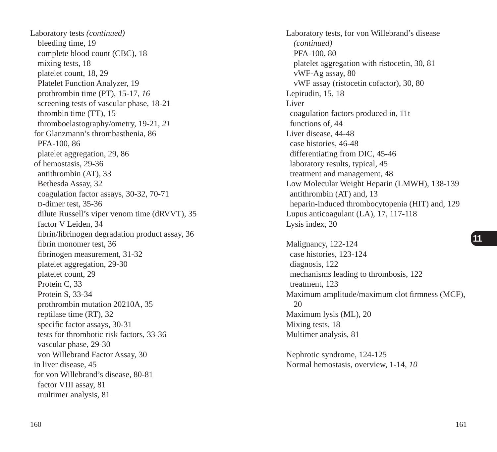Laboratory tests *(continued)* bleeding time, 19 complete blood count (CBC), 18 mixing tests, 18 platelet count, 18, 29 Platelet Function Analyzer, 19 prothrombin time (PT), 15-17, *16* screening tests of vascular phase, 18-21 thrombin time (TT), 15 thromboelastography/ometry, 19-21, *21* for Glanzmann's thrombasthenia, 86 PFA-100, 86 platelet aggregation, 29, 86 of hemostasis, 29-36 antithrombin (AT), 33 Bethesda Assay, 32 coagulation factor assays, 30-32, 70-71 D-dimer test, 35-36 dilute Russell's viper venom time (dRVVT), 35 factor V Leiden, 34 fibrin/fibrinogen degradation product assay, 36 fibrin monomer test, 36 fibrinogen measurement, 31-32 platelet aggregation, 29-30 platelet count, 29 Protein C, 33 Protein S, 33-34 prothrombin mutation 20210A, 35 reptilase time (RT), 32 specific factor assays, 30-31 tests for thrombotic risk factors, 33-36 vascular phase, 29-30 von Willebrand Factor Assay, 30 in liver disease, 45 for von Willebrand's disease, 80-81 factor VIII assay, 81 multimer analysis, 81

Laboratory tests, for von Willebrand's disease *(continued)* PFA-100, 80 platelet aggregation with ristocetin, 30, 81 vWF-Ag assay, 80 vWF assay (ristocetin cofactor), 30, 80 Lepirudin, 15, 18 Liver coagulation factors produced in, 11t functions of, 44 Liver disease, 44-48 case histories, 46-48 differentiating from DIC, 45-46 laboratory results, typical, 45 treatment and management, 48 Low Molecular Weight Heparin (LMWH), 138-139 antithrombin (AT) and, 13 heparin-induced thrombocytopenia (HIT) and, 129 Lupus anticoagulant (LA), 17, 117-118 Lysis index, 20

Malignancy, 122-124 case histories, 123-124 diagnosis, 122 mechanisms leading to thrombosis, 122 treatment, 123 Maximum amplitude/maximum clot firmness (MCF), 20 Maximum lysis (ML), 20 Mixing tests, 18 Multimer analysis, 81

Nephrotic syndrome, 124-125 Normal hemostasis, overview, 1-14, *10*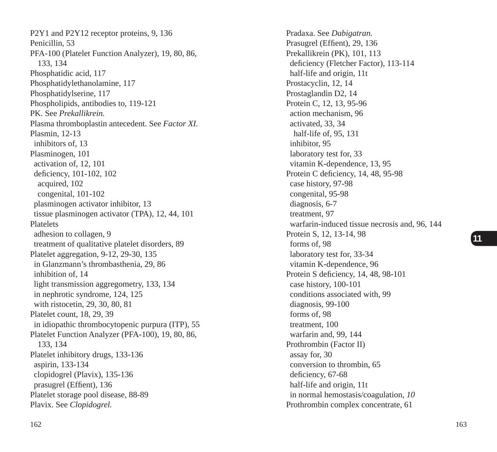P2Y1 and P2Y12 receptor proteins, 9, 136 Penicillin, 53 PFA-100 (Platelet Function Analyzer), 19, 80, 86, 133, 134 Phosphatidic acid, 117 Phosphatidylethanolamine, 117 Phosphatidylserine, 117 Phospholipids, antibodies to, 119-121 PK. See *Prekallikrein.* Plasma thromboplastin antecedent. See *Factor XI.* Plasmin, 12-13 inhibitors of, 13 Plasminogen, 101 activation of, 12, 101 deficiency, 101-102, 102 acquired, 102 congenital, 101-102 plasminogen activator inhibitor, 13 tissue plasminogen activator (TPA), 12, 44, 101 Platelets adhesion to collagen, 9 treatment of qualitative platelet disorders, 89 Platelet aggregation, 9-12, 29-30, 135 in Glanzmann's thrombasthenia, 29, 86 inhibition of, 14 light transmission aggregometry, 133, 134 in nephrotic syndrome, 124, 125 with ristocetin, 29, 30, 80, 81 Platelet count, 18, 29, 39 in idiopathic thrombocytopenic purpura (ITP), 55 Platelet Function Analyzer (PFA-100), 19, 80, 86, 133, 134 Platelet inhibitory drugs, 133-136 aspirin, 133-134 clopidogrel (Plavix), 135-136 prasugrel (Effient), 136 Platelet storage pool disease, 88-89 Plavix. See *Clopidogrel.*

Pradaxa. See *Dabigatran.* Prasugrel (Effient), 29, 136 Prekallikrein (PK), 101, 113 deficiency (Fletcher Factor), 113-114 half-life and origin, 11t Prostacyclin, 12, 14 Prostaglandin D2, 14 Protein C, 12, 13, 95-96 action mechanism, 96 activated, 33, 34 half-life of, 95, 131 inhibitor, 95 laboratory test for, 33 vitamin K-dependence, 13, 95 Protein C deficiency, 14, 48, 95-98 case history, 97-98 congenital, 95-98 diagnosis, 6-7 treatment, 97 warfarin-induced tissue necrosis and, 96, 144 Protein S, 12, 13-14, 98 forms of, 98 laboratory test for, 33-34 vitamin K-dependence, 96 Protein S deficiency, 14, 48, 98-101 case history, 100-101 conditions associated with, 99 diagnosis, 99-100 forms of, 98 treatment, 100 warfarin and, 99, 144 Prothrombin (Factor II) assay for, 30 conversion to thrombin, 65 deficiency, 67-68 half-life and origin, 11t in normal hemostasis/coagulation, *10* Prothrombin complex concentrate, 61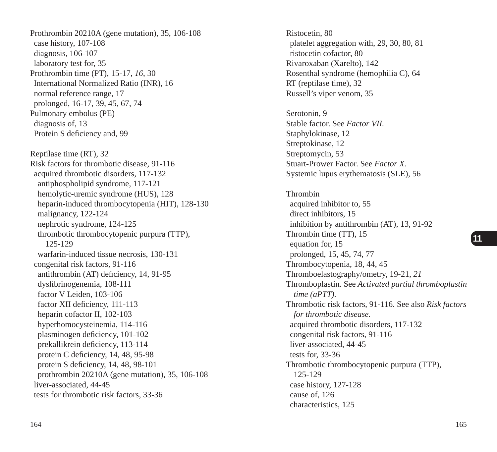Prothrombin 20210A (gene mutation), 35, 106-108 case history, 107-108 diagnosis, 106-107 laboratory test for, 35 Prothrombin time (PT), 15-17, *16*, 30 International Normalized Ratio (INR), 16 normal reference range, 17 prolonged, 16-17, 39, 45, 67, 74 Pulmonary embolus (PE) diagnosis of, 13 Protein S deficiency and, 99 Reptilase time (RT), 32 Risk factors for thrombotic disease, 91-116 acquired thrombotic disorders, 117-132 antiphospholipid syndrome, 117-121 hemolytic-uremic syndrome (HUS), 128 heparin-induced thrombocytopenia (HIT), 128-130 malignancy, 122-124 nephrotic syndrome, 124-125 thrombotic thrombocytopenic purpura (TTP), 125-129 warfarin-induced tissue necrosis, 130-131 congenital risk factors, 91-116 antithrombin (AT) deficiency, 14, 91-95 dysfibrinogenemia, 108-111 factor V Leiden, 103-106 factor XII deficiency, 111-113 heparin cofactor II, 102-103 hyperhomocysteinemia, 114-116 plasminogen deficiency, 101-102 prekallikrein deficiency, 113-114 protein C deficiency, 14, 48, 95-98 protein S deficiency, 14, 48, 98-101 prothrombin 20210A (gene mutation), 35, 106-108 liver-associated, 44-45 tests for thrombotic risk factors, 33-36

Ristocetin, 80 platelet aggregation with, 29, 30, 80, 81 ristocetin cofactor, 80 Rivaroxaban (Xarelto), 142 Rosenthal syndrome (hemophilia C), 64 RT (reptilase time), 32 Russell's viper venom, 35 Serotonin, 9 Stable factor. See *Factor VII.* Staphylokinase, 12 Streptokinase, 12 Streptomycin, 53 Stuart-Prower Factor. See *Factor X.* Systemic lupus erythematosis (SLE), 56 Thrombin acquired inhibitor to, 55 direct inhibitors, 15 inhibition by antithrombin (AT), 13, 91-92 Thrombin time (TT), 15 equation for, 15 prolonged, 15, 45, 74, 77 Thrombocytopenia, 18, 44, 45 Thromboelastography/ometry, 19-21, *21* Thromboplastin. See *Activated partial thromboplastin time (aPTT).* Thrombotic risk factors, 91-116. See also *Risk factors for thrombotic disease.* acquired thrombotic disorders, 117-132 congenital risk factors, 91-116 liver-associated, 44-45 tests for, 33-36 Thrombotic thrombocytopenic purpura (TTP), 125-129

 case history, 127-128 cause of, 126 characteristics, 125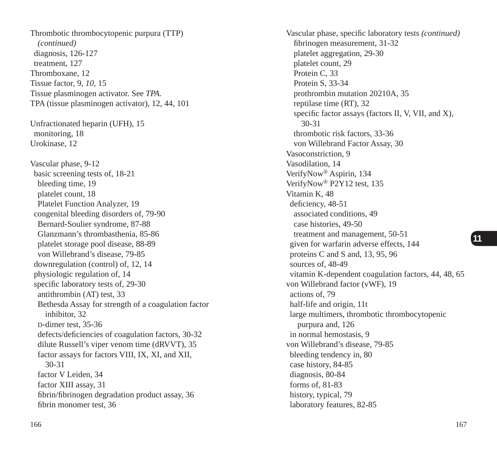Thrombotic thrombocytopenic purpura (TTP) *(continued)* diagnosis, 126-127 treatment, 127 Thromboxane, 12 Tissue factor, 9, *10*, 15 Tissue plasminogen activator. See *TPA.* TPA (tissue plasminogen activator), 12, 44, 101 Unfractionated heparin (UFH), 15 monitoring, 18 Urokinase, 12 Vascular phase, 9-12 basic screening tests of, 18-21 bleeding time, 19 platelet count, 18 Platelet Function Analyzer, 19 congenital bleeding disorders of, 79-90 Bernard-Soulier syndrome, 87-88 Glanzmann's thrombasthenia, 85-86 platelet storage pool disease, 88-89 von Willebrand's disease, 79-85 downregulation (control) of, 12, 14 physiologic regulation of, 14 specific laboratory tests of, 29-30 antithrombin (AT) test, 33 Bethesda Assay for strength of a coagulation factor inhibitor, 32 D-dimer test, 35-36 defects/deficiencies of coagulation factors, 30-32 dilute Russell's viper venom time (dRVVT), 35 factor assays for factors VIII, IX, XI, and XII, 30-31 factor V Leiden, 34 factor XIII assay, 31 fibrin/fibrinogen degradation product assay, 36 fibrin monomer test, 36

Vascular phase, specific laboratory tests *(continued)* fibrinogen measurement, 31-32 platelet aggregation, 29-30 platelet count, 29 Protein C, 33 Protein S, 33-34 prothrombin mutation 20210A, 35 reptilase time (RT), 32 specific factor assays (factors II, V, VII, and X), 30-31 thrombotic risk factors, 33-36 von Willebrand Factor Assay, 30 Vasoconstriction, 9 Vasodilation, 14 VerifyNow® Aspirin, 134 VerifyNow® P2Y12 test, 135 Vitamin K, 48 deficiency, 48-51 associated conditions, 49 case histories, 49-50 treatment and management, 50-51 given for warfarin adverse effects, 144 proteins C and S and, 13, 95, 96 sources of, 48-49 vitamin K-dependent coagulation factors, 44, 48, 65 von Willebrand factor (vWF), 19 actions of, 79 half-life and origin, 11t large multimers, thrombotic thrombocytopenic purpura and, 126 in normal hemostasis, 9 von Willebrand's disease, 79-85 bleeding tendency in, 80 case history, 84-85 diagnosis, 80-84 forms of, 81-83 history, typical, 79 laboratory features, 82-85